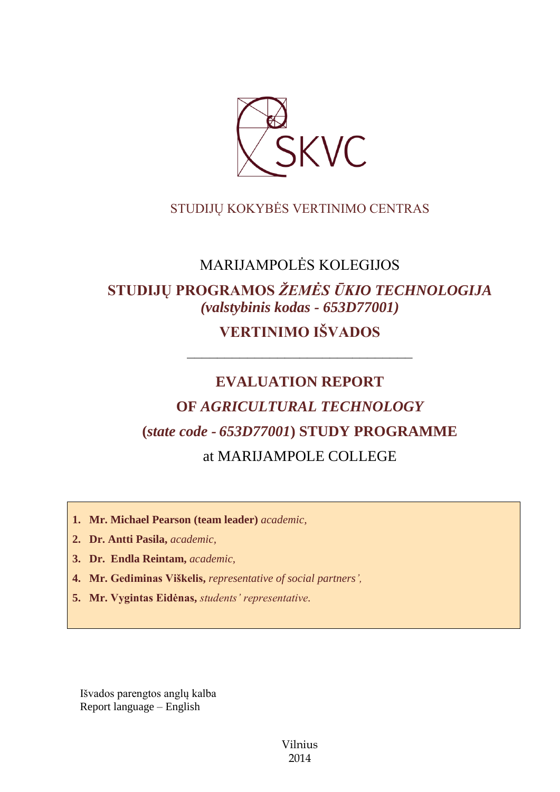

# STUDIJŲ KOKYBĖS VERTINIMO CENTRAS

# MARIJAMPOLĖS KOLEGIJOS

# **STUDIJŲ PROGRAMOS** *ŽEMĖS ŪKIO TECHNOLOGIJA (valstybinis kodas - 653D77001)* **VERTINIMO IŠVADOS**

––––––––––––––––––––––––––––––

# **EVALUATION REPORT OF** *AGRICULTURAL TECHNOLOGY* **(***state code - 653D77001***) STUDY PROGRAMME** at MARIJAMPOLE COLLEGE

- **1. Mr. Michael Pearson (team leader)** *academic,*
- **2. Dr. Antti Pasila,** *academic,*
- **3. Dr. Endla Reintam,** *academic,*
- **4. Mr. Gediminas Viškelis,** *representative of social partners',*
- **5. Mr. Vygintas Eidėnas,** *students' representative.*

Išvados parengtos anglų kalba Report language – English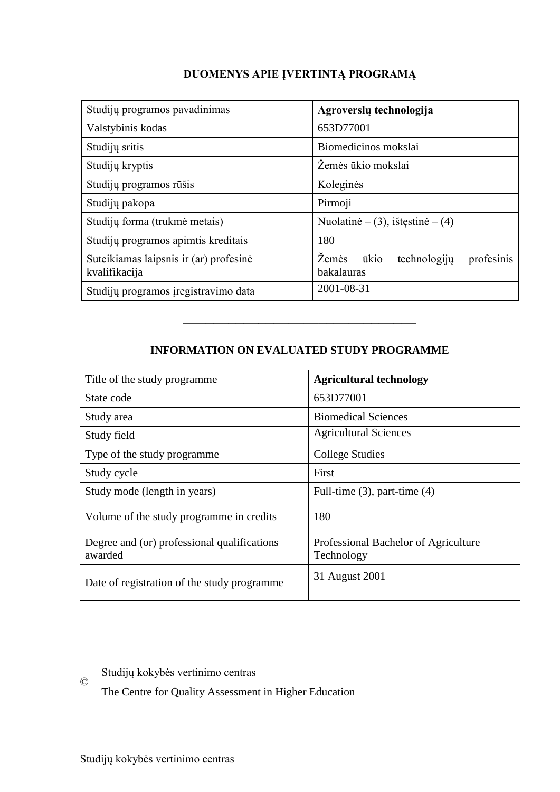# **DUOMENYS APIE ĮVERTINTĄ PROGRAMĄ**

| Studijų programos pavadinimas                           | Agroverslų technologija                                          |  |
|---------------------------------------------------------|------------------------------------------------------------------|--|
| Valstybinis kodas                                       | 653D77001                                                        |  |
| Studijų sritis                                          | Biomedicinos mokslai                                             |  |
| Studijų kryptis                                         | Žemės ūkio mokslai                                               |  |
| Studijų programos rūšis                                 | Koleginės                                                        |  |
| Studijų pakopa                                          | Pirmoji                                                          |  |
| Studijų forma (trukmė metais)                           | Nuolatinė – (3), ištęstinė – (4)                                 |  |
| Studijų programos apimtis kreditais                     | 180                                                              |  |
| Suteikiamas laipsnis ir (ar) profesinė<br>kvalifikacija | <i>Zemės</i><br>ūkio<br>technologiju<br>profesinis<br>bakalauras |  |
| Studijų programos įregistravimo data                    | 2001-08-31                                                       |  |

## **INFORMATION ON EVALUATED STUDY PROGRAMME**

–––––––––––––––––––––––––––––––

| Title of the study programme                           | <b>Agricultural technology</b>                     |
|--------------------------------------------------------|----------------------------------------------------|
| State code                                             | 653D77001                                          |
| Study area                                             | <b>Biomedical Sciences</b>                         |
| Study field                                            | <b>Agricultural Sciences</b>                       |
| Type of the study programme                            | College Studies                                    |
| Study cycle                                            | First                                              |
| Study mode (length in years)                           | Full-time $(3)$ , part-time $(4)$                  |
| Volume of the study programme in credits               | 180                                                |
| Degree and (or) professional qualifications<br>awarded | Professional Bachelor of Agriculture<br>Technology |
| Date of registration of the study programme            | 31 August 2001                                     |

Studijų kokybės vertinimo centras

The Centre for Quality Assessment in Higher Education

©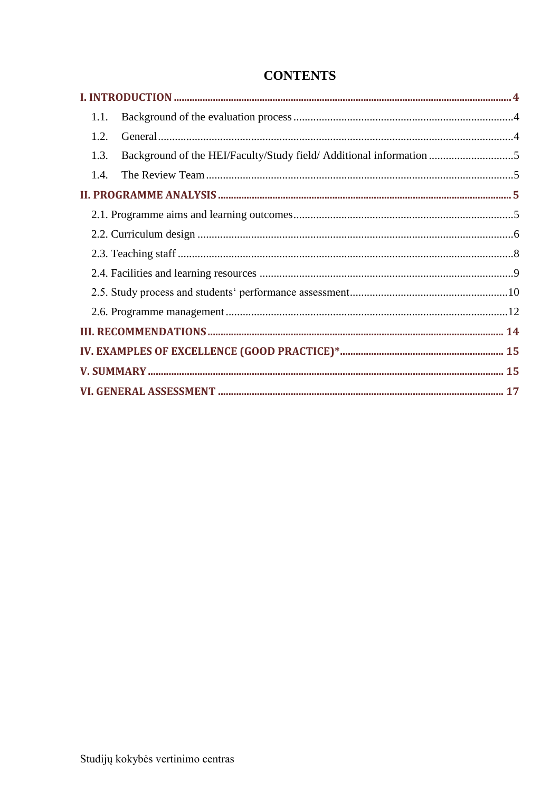| 1.1.                                                                        |  |
|-----------------------------------------------------------------------------|--|
| 1.2.                                                                        |  |
| 1.3.<br>Background of the HEI/Faculty/Study field/ Additional information 5 |  |
| 1.4.                                                                        |  |
|                                                                             |  |
|                                                                             |  |
|                                                                             |  |
|                                                                             |  |
|                                                                             |  |
|                                                                             |  |
|                                                                             |  |
|                                                                             |  |
|                                                                             |  |
|                                                                             |  |
|                                                                             |  |

# **CONTENTS**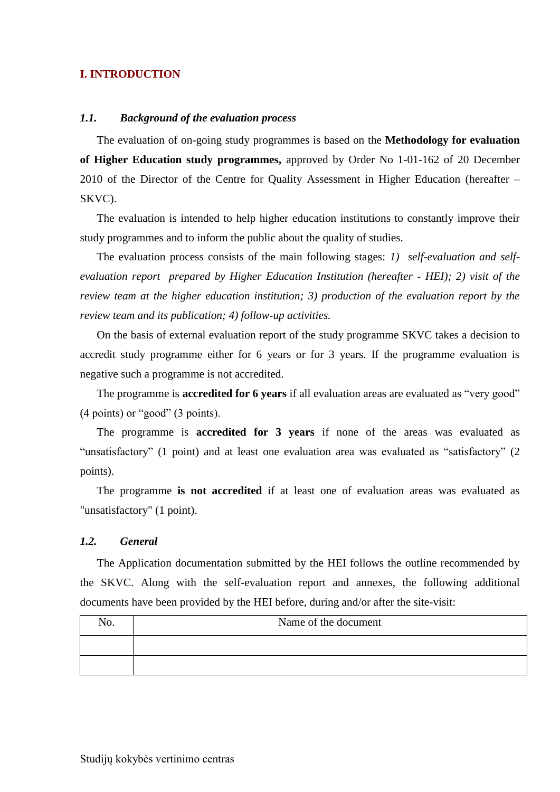#### <span id="page-3-0"></span>**I. INTRODUCTION**

#### <span id="page-3-1"></span>*1.1. Background of the evaluation process*

The evaluation of on-going study programmes is based on the **Methodology for evaluation of Higher Education study programmes,** approved by Order No 1-01-162 of 20 December 2010 of the Director of the Centre for Quality Assessment in Higher Education (hereafter – SKVC).

The evaluation is intended to help higher education institutions to constantly improve their study programmes and to inform the public about the quality of studies.

The evaluation process consists of the main following stages: *1) self-evaluation and selfevaluation report prepared by Higher Education Institution (hereafter - HEI); 2) visit of the review team at the higher education institution; 3) production of the evaluation report by the review team and its publication; 4) follow-up activities.* 

On the basis of external evaluation report of the study programme SKVC takes a decision to accredit study programme either for 6 years or for 3 years. If the programme evaluation is negative such a programme is not accredited.

The programme is **accredited for 6 years** if all evaluation areas are evaluated as "very good" (4 points) or "good" (3 points).

The programme is **accredited for 3 years** if none of the areas was evaluated as "unsatisfactory" (1 point) and at least one evaluation area was evaluated as "satisfactory" (2 points).

The programme **is not accredited** if at least one of evaluation areas was evaluated as "unsatisfactory" (1 point).

#### <span id="page-3-2"></span>*1.2. General*

The Application documentation submitted by the HEI follows the outline recommended by the SKVC. Along with the self-evaluation report and annexes, the following additional documents have been provided by the HEI before, during and/or after the site-visit:

| NO. | Name of the document |
|-----|----------------------|
|     |                      |
|     |                      |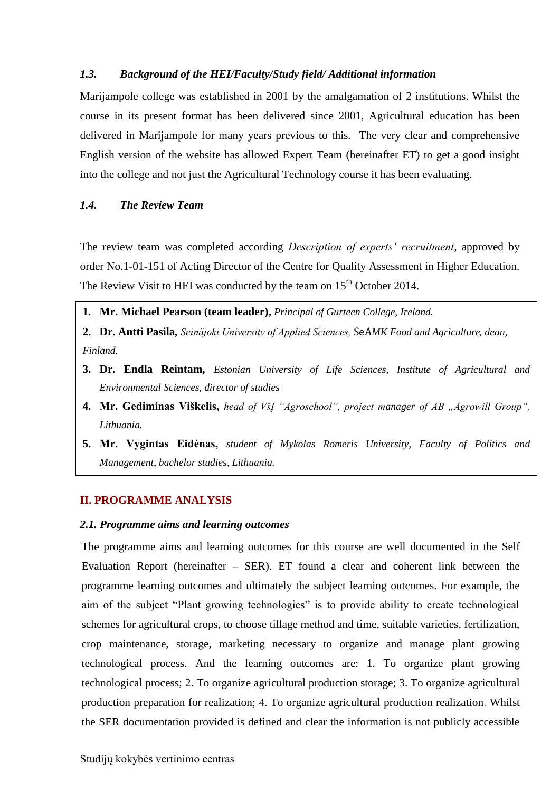#### <span id="page-4-0"></span>*1.3. Background of the HEI/Faculty/Study field/ Additional information*

Marijampole college was established in 2001 by the amalgamation of 2 institutions. Whilst the course in its present format has been delivered since 2001, Agricultural education has been delivered in Marijampole for many years previous to this. The very clear and comprehensive English version of the website has allowed Expert Team (hereinafter ET) to get a good insight into the college and not just the Agricultural Technology course it has been evaluating.

## <span id="page-4-1"></span>*1.4. The Review Team*

The review team was completed according *Description of experts' recruitment*, approved by order No.1-01-151 of Acting Director of the Centre for Quality Assessment in Higher Education. The Review Visit to HEI was conducted by the team on  $15<sup>th</sup>$  October 2014.

- **1. Mr. Michael Pearson (team leader),** *Principal of Gurteen College, Ireland.*
- **2. Dr. Antti Pasila***, Seinäjoki University of Applied Sciences,* SeA*MK Food and Agriculture*, *dean, Finland.*
- **3. Dr. Endla Reintam,** *Estonian University of Life Sciences, Institute of Agricultural and Environmental Sciences, director of studies*
- **4. Mr. Gediminas Viškelis,** head of VšI "Agroschool", project manager of AB "Agrowill Group", *Lithuania.*
- **5. Mr. Vygintas Eidėnas,** *student of Mykolas Romeris University, Faculty of Politics and Management, bachelor studies, Lithuania.*

#### <span id="page-4-2"></span>**II. PROGRAMME ANALYSIS**

6.

# <span id="page-4-3"></span>2.1. Programme aims and learning outcomes

The programme aims and learning outcomes for this course are well documented in the Self Evaluation Report (hereinafter – SER). ET found a clear and coherent link between the programme learning outcomes and ultimately the subject learning outcomes. For example, the aim of the subject "Plant growing technologies" is to provide ability to create technological schemes for agricultural crops, to choose tillage method and time, suitable varieties, fertilization, crop maintenance, storage, marketing necessary to organize and manage plant growing technological process. And the learning outcomes are: 1. To organize plant growing technological process; 2. To organize agricultural production storage; 3. To organize agricultural production preparation for realization; 4. To organize agricultural production realization. Whilst the SER documentation provided is defined and clear the information is not publicly accessible **Mr. Vygintas Eidėnas,** *student of Mykolas Romeris University, Faculty of Politics and Management, bachelor studies, Lithuania.*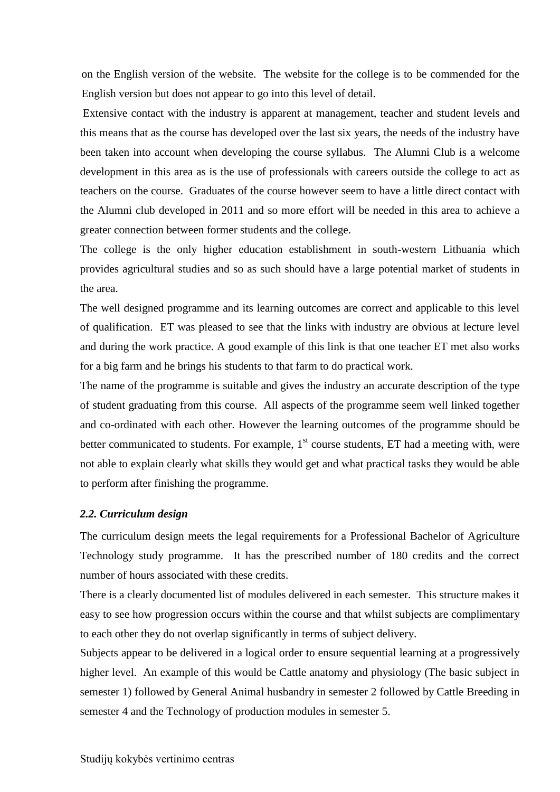on the English version of the website. The website for the college is to be commended for the English version but does not appear to go into this level of detail.

Extensive contact with the industry is apparent at management, teacher and student levels and this means that as the course has developed over the last six years, the needs of the industry have been taken into account when developing the course syllabus. The Alumni Club is a welcome development in this area as is the use of professionals with careers outside the college to act as teachers on the course. Graduates of the course however seem to have a little direct contact with the Alumni club developed in 2011 and so more effort will be needed in this area to achieve a greater connection between former students and the college.

The college is the only higher education establishment in south-western Lithuania which provides agricultural studies and so as such should have a large potential market of students in the area.

The well designed programme and its learning outcomes are correct and applicable to this level of qualification. ET was pleased to see that the links with industry are obvious at lecture level and during the work practice. A good example of this link is that one teacher ET met also works for a big farm and he brings his students to that farm to do practical work.

The name of the programme is suitable and gives the industry an accurate description of the type of student graduating from this course. All aspects of the programme seem well linked together and co-ordinated with each other. However the learning outcomes of the programme should be better communicated to students. For example,  $1<sup>st</sup>$  course students, ET had a meeting with, were not able to explain clearly what skills they would get and what practical tasks they would be able to perform after finishing the programme.

#### <span id="page-5-0"></span>*2.2. Curriculum design*

The curriculum design meets the legal requirements for a Professional Bachelor of Agriculture Technology study programme. It has the prescribed number of 180 credits and the correct number of hours associated with these credits.

There is a clearly documented list of modules delivered in each semester. This structure makes it easy to see how progression occurs within the course and that whilst subjects are complimentary to each other they do not overlap significantly in terms of subject delivery.

Subjects appear to be delivered in a logical order to ensure sequential learning at a progressively higher level. An example of this would be Cattle anatomy and physiology (The basic subject in semester 1) followed by General Animal husbandry in semester 2 followed by Cattle Breeding in semester 4 and the Technology of production modules in semester 5.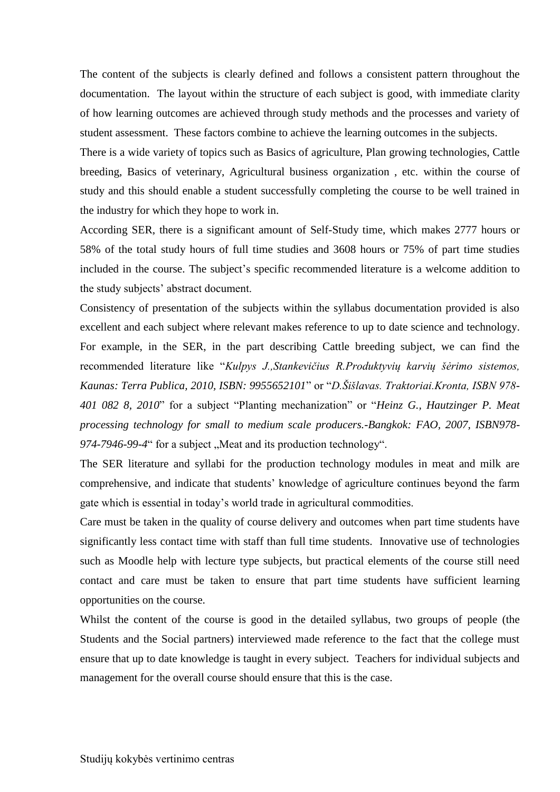The content of the subjects is clearly defined and follows a consistent pattern throughout the documentation. The layout within the structure of each subject is good, with immediate clarity of how learning outcomes are achieved through study methods and the processes and variety of student assessment. These factors combine to achieve the learning outcomes in the subjects.

There is a wide variety of topics such as Basics of agriculture, Plan growing technologies, Cattle breeding, Basics of veterinary, Agricultural business organization , etc. within the course of study and this should enable a student successfully completing the course to be well trained in the industry for which they hope to work in.

According SER, there is a significant amount of Self-Study time, which makes 2777 hours or 58% of the total study hours of full time studies and 3608 hours or 75% of part time studies included in the course. The subject's specific recommended literature is a welcome addition to the study subjects' abstract document.

Consistency of presentation of the subjects within the syllabus documentation provided is also excellent and each subject where relevant makes reference to up to date science and technology. For example, in the SER, in the part describing Cattle breeding subject, we can find the recommended literature like "*Kulpys J.,Stankevičius R.Produktyvių karvių šėrimo sistemos, Kaunas: Terra Publica, 2010, ISBN: 9955652101*" or "*D.Šišlavas. Traktoriai.Kronta, ISBN 978- 401 082 8, 2010*" for a subject "Planting mechanization" or "*Heinz G., Hautzinger P. Meat processing technology for small to medium scale producers.-Bangkok: FAO, 2007, ISBN978-* 974-7946-99-4" for a subject "Meat and its production technology".

The SER literature and syllabi for the production technology modules in meat and milk are comprehensive, and indicate that students' knowledge of agriculture continues beyond the farm gate which is essential in today's world trade in agricultural commodities.

Care must be taken in the quality of course delivery and outcomes when part time students have significantly less contact time with staff than full time students. Innovative use of technologies such as Moodle help with lecture type subjects, but practical elements of the course still need contact and care must be taken to ensure that part time students have sufficient learning opportunities on the course.

Whilst the content of the course is good in the detailed syllabus, two groups of people (the Students and the Social partners) interviewed made reference to the fact that the college must ensure that up to date knowledge is taught in every subject. Teachers for individual subjects and management for the overall course should ensure that this is the case.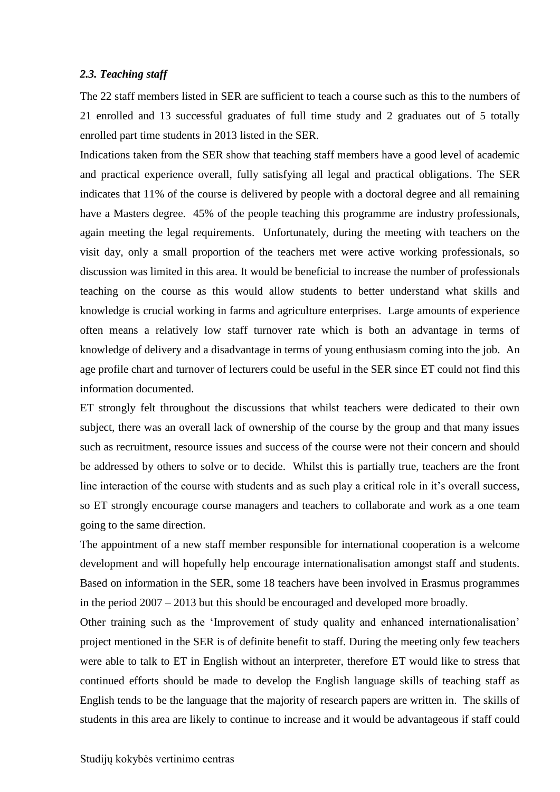#### <span id="page-7-0"></span>*2.3. Teaching staff*

The 22 staff members listed in SER are sufficient to teach a course such as this to the numbers of 21 enrolled and 13 successful graduates of full time study and 2 graduates out of 5 totally enrolled part time students in 2013 listed in the SER.

Indications taken from the SER show that teaching staff members have a good level of academic and practical experience overall, fully satisfying all legal and practical obligations. The SER indicates that 11% of the course is delivered by people with a doctoral degree and all remaining have a Masters degree. 45% of the people teaching this programme are industry professionals, again meeting the legal requirements. Unfortunately, during the meeting with teachers on the visit day, only a small proportion of the teachers met were active working professionals, so discussion was limited in this area. It would be beneficial to increase the number of professionals teaching on the course as this would allow students to better understand what skills and knowledge is crucial working in farms and agriculture enterprises. Large amounts of experience often means a relatively low staff turnover rate which is both an advantage in terms of knowledge of delivery and a disadvantage in terms of young enthusiasm coming into the job. An age profile chart and turnover of lecturers could be useful in the SER since ET could not find this information documented.

ET strongly felt throughout the discussions that whilst teachers were dedicated to their own subject, there was an overall lack of ownership of the course by the group and that many issues such as recruitment, resource issues and success of the course were not their concern and should be addressed by others to solve or to decide. Whilst this is partially true, teachers are the front line interaction of the course with students and as such play a critical role in it's overall success, so ET strongly encourage course managers and teachers to collaborate and work as a one team going to the same direction.

The appointment of a new staff member responsible for international cooperation is a welcome development and will hopefully help encourage internationalisation amongst staff and students. Based on information in the SER, some 18 teachers have been involved in Erasmus programmes in the period 2007 – 2013 but this should be encouraged and developed more broadly.

Other training such as the 'Improvement of study quality and enhanced internationalisation' project mentioned in the SER is of definite benefit to staff. During the meeting only few teachers were able to talk to ET in English without an interpreter, therefore ET would like to stress that continued efforts should be made to develop the English language skills of teaching staff as English tends to be the language that the majority of research papers are written in. The skills of students in this area are likely to continue to increase and it would be advantageous if staff could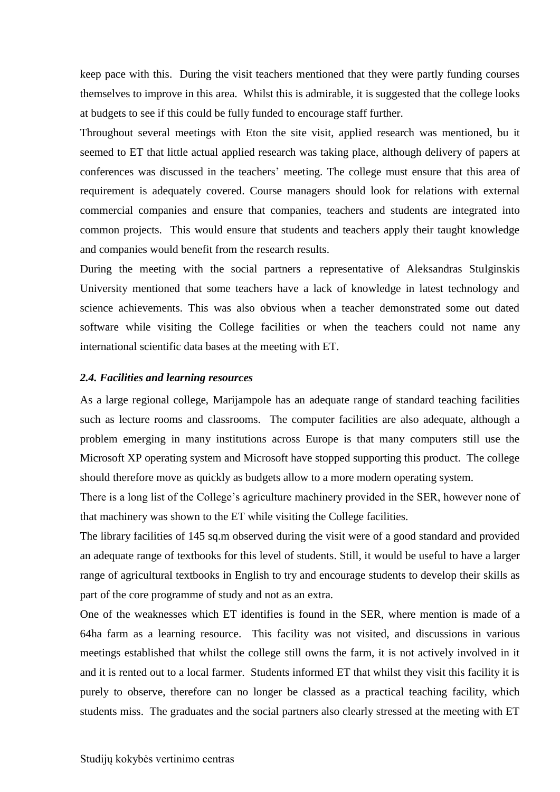keep pace with this. During the visit teachers mentioned that they were partly funding courses themselves to improve in this area. Whilst this is admirable, it is suggested that the college looks at budgets to see if this could be fully funded to encourage staff further.

Throughout several meetings with Eton the site visit, applied research was mentioned, bu it seemed to ET that little actual applied research was taking place, although delivery of papers at conferences was discussed in the teachers' meeting. The college must ensure that this area of requirement is adequately covered. Course managers should look for relations with external commercial companies and ensure that companies, teachers and students are integrated into common projects. This would ensure that students and teachers apply their taught knowledge and companies would benefit from the research results.

During the meeting with the social partners a representative of Aleksandras Stulginskis University mentioned that some teachers have a lack of knowledge in latest technology and science achievements. This was also obvious when a teacher demonstrated some out dated software while visiting the College facilities or when the teachers could not name any international scientific data bases at the meeting with ET.

#### <span id="page-8-0"></span>*2.4. Facilities and learning resources*

As a large regional college, Marijampole has an adequate range of standard teaching facilities such as lecture rooms and classrooms. The computer facilities are also adequate, although a problem emerging in many institutions across Europe is that many computers still use the Microsoft XP operating system and Microsoft have stopped supporting this product. The college should therefore move as quickly as budgets allow to a more modern operating system.

There is a long list of the College's agriculture machinery provided in the SER, however none of that machinery was shown to the ET while visiting the College facilities.

The library facilities of 145 sq.m observed during the visit were of a good standard and provided an adequate range of textbooks for this level of students. Still, it would be useful to have a larger range of agricultural textbooks in English to try and encourage students to develop their skills as part of the core programme of study and not as an extra.

One of the weaknesses which ET identifies is found in the SER, where mention is made of a 64ha farm as a learning resource. This facility was not visited, and discussions in various meetings established that whilst the college still owns the farm, it is not actively involved in it and it is rented out to a local farmer. Students informed ET that whilst they visit this facility it is purely to observe, therefore can no longer be classed as a practical teaching facility, which students miss. The graduates and the social partners also clearly stressed at the meeting with ET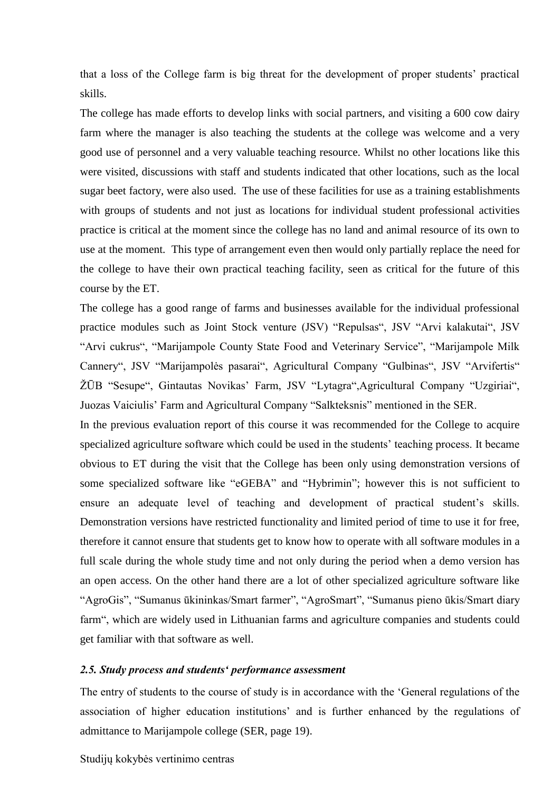that a loss of the College farm is big threat for the development of proper students' practical skills.

The college has made efforts to develop links with social partners, and visiting a 600 cow dairy farm where the manager is also teaching the students at the college was welcome and a very good use of personnel and a very valuable teaching resource. Whilst no other locations like this were visited, discussions with staff and students indicated that other locations, such as the local sugar beet factory, were also used. The use of these facilities for use as a training establishments with groups of students and not just as locations for individual student professional activities practice is critical at the moment since the college has no land and animal resource of its own to use at the moment. This type of arrangement even then would only partially replace the need for the college to have their own practical teaching facility, seen as critical for the future of this course by the ET.

The college has a good range of farms and businesses available for the individual professional practice modules such as Joint Stock venture (JSV) "Repulsas", JSV "Arvi kalakutai", JSV "Arvi cukrus", "Marijampole County State Food and Veterinary Service", "Marijampole Milk Cannery", JSV "Marijampolės pasarai", Agricultural Company "Gulbinas", JSV "Arvifertis" ŽŪB "Sesupe", Gintautas Novikas' Farm, JSV "Lytagra",Agricultural Company "Uzgiriai", Juozas Vaiciulis' Farm and Agricultural Company "Salkteksnis" mentioned in the SER.

In the previous evaluation report of this course it was recommended for the College to acquire specialized agriculture software which could be used in the students' teaching process. It became obvious to ET during the visit that the College has been only using demonstration versions of some specialized software like "eGEBA" and "Hybrimin"; however this is not sufficient to ensure an adequate level of teaching and development of practical student's skills. Demonstration versions have restricted functionality and limited period of time to use it for free, therefore it cannot ensure that students get to know how to operate with all software modules in a full scale during the whole study time and not only during the period when a demo version has an open access. On the other hand there are a lot of other specialized agriculture software like "AgroGis", "Sumanus ūkininkas/Smart farmer", "AgroSmart", "Sumanus pieno ūkis/Smart diary farm", which are widely used in Lithuanian farms and agriculture companies and students could get familiar with that software as well.

#### <span id="page-9-0"></span>*2.5. Study process and students' performance assessment*

The entry of students to the course of study is in accordance with the 'General regulations of the association of higher education institutions' and is further enhanced by the regulations of admittance to Marijampole college (SER, page 19).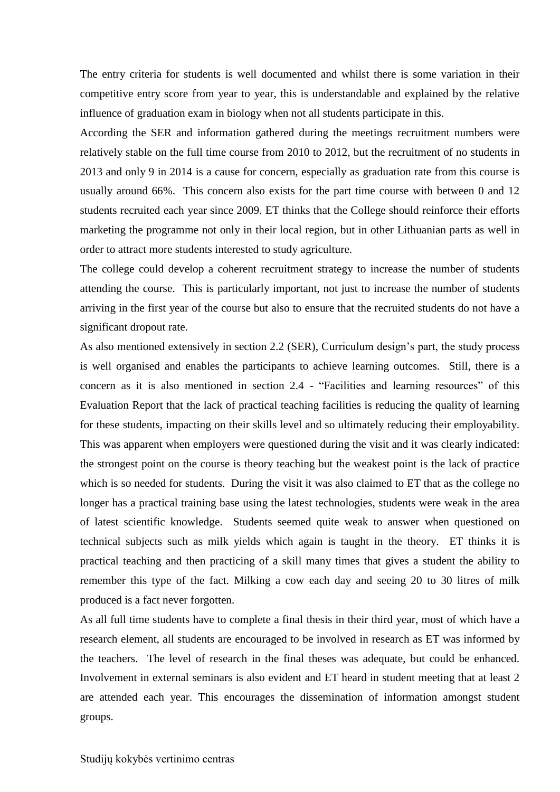The entry criteria for students is well documented and whilst there is some variation in their competitive entry score from year to year, this is understandable and explained by the relative influence of graduation exam in biology when not all students participate in this.

According the SER and information gathered during the meetings recruitment numbers were relatively stable on the full time course from 2010 to 2012, but the recruitment of no students in 2013 and only 9 in 2014 is a cause for concern, especially as graduation rate from this course is usually around 66%. This concern also exists for the part time course with between 0 and 12 students recruited each year since 2009. ET thinks that the College should reinforce their efforts marketing the programme not only in their local region, but in other Lithuanian parts as well in order to attract more students interested to study agriculture.

The college could develop a coherent recruitment strategy to increase the number of students attending the course. This is particularly important, not just to increase the number of students arriving in the first year of the course but also to ensure that the recruited students do not have a significant dropout rate.

As also mentioned extensively in section 2.2 (SER), Curriculum design's part, the study process is well organised and enables the participants to achieve learning outcomes. Still, there is a concern as it is also mentioned in section 2.4 - "Facilities and learning resources" of this Evaluation Report that the lack of practical teaching facilities is reducing the quality of learning for these students, impacting on their skills level and so ultimately reducing their employability. This was apparent when employers were questioned during the visit and it was clearly indicated: the strongest point on the course is theory teaching but the weakest point is the lack of practice which is so needed for students. During the visit it was also claimed to ET that as the college no longer has a practical training base using the latest technologies, students were weak in the area of latest scientific knowledge. Students seemed quite weak to answer when questioned on technical subjects such as milk yields which again is taught in the theory. ET thinks it is practical teaching and then practicing of a skill many times that gives a student the ability to remember this type of the fact. Milking a cow each day and seeing 20 to 30 litres of milk produced is a fact never forgotten.

As all full time students have to complete a final thesis in their third year, most of which have a research element, all students are encouraged to be involved in research as ET was informed by the teachers. The level of research in the final theses was adequate, but could be enhanced. Involvement in external seminars is also evident and ET heard in student meeting that at least 2 are attended each year. This encourages the dissemination of information amongst student groups.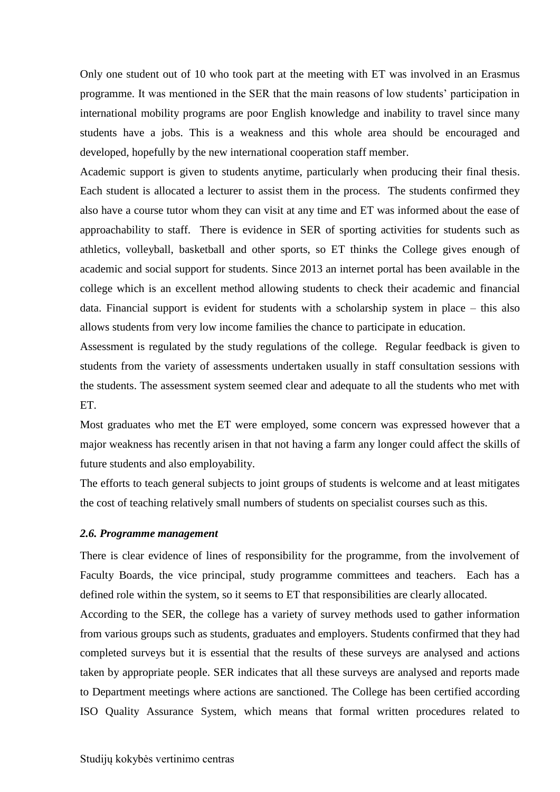Only one student out of 10 who took part at the meeting with ET was involved in an Erasmus programme. It was mentioned in the SER that the main reasons of low students' participation in international mobility programs are poor English knowledge and inability to travel since many students have a jobs. This is a weakness and this whole area should be encouraged and developed, hopefully by the new international cooperation staff member.

Academic support is given to students anytime, particularly when producing their final thesis. Each student is allocated a lecturer to assist them in the process. The students confirmed they also have a course tutor whom they can visit at any time and ET was informed about the ease of approachability to staff. There is evidence in SER of sporting activities for students such as athletics, volleyball, basketball and other sports, so ET thinks the College gives enough of academic and social support for students. Since 2013 an internet portal has been available in the college which is an excellent method allowing students to check their academic and financial data. Financial support is evident for students with a scholarship system in place – this also allows students from very low income families the chance to participate in education.

Assessment is regulated by the study regulations of the college. Regular feedback is given to students from the variety of assessments undertaken usually in staff consultation sessions with the students. The assessment system seemed clear and adequate to all the students who met with ET.

Most graduates who met the ET were employed, some concern was expressed however that a major weakness has recently arisen in that not having a farm any longer could affect the skills of future students and also employability.

The efforts to teach general subjects to joint groups of students is welcome and at least mitigates the cost of teaching relatively small numbers of students on specialist courses such as this.

#### <span id="page-11-0"></span>*2.6. Programme management*

There is clear evidence of lines of responsibility for the programme, from the involvement of Faculty Boards, the vice principal, study programme committees and teachers. Each has a defined role within the system, so it seems to ET that responsibilities are clearly allocated.

According to the SER, the college has a variety of survey methods used to gather information from various groups such as students, graduates and employers. Students confirmed that they had completed surveys but it is essential that the results of these surveys are analysed and actions taken by appropriate people. SER indicates that all these surveys are analysed and reports made to Department meetings where actions are sanctioned. The College has been certified according ISO Quality Assurance System, which means that formal written procedures related to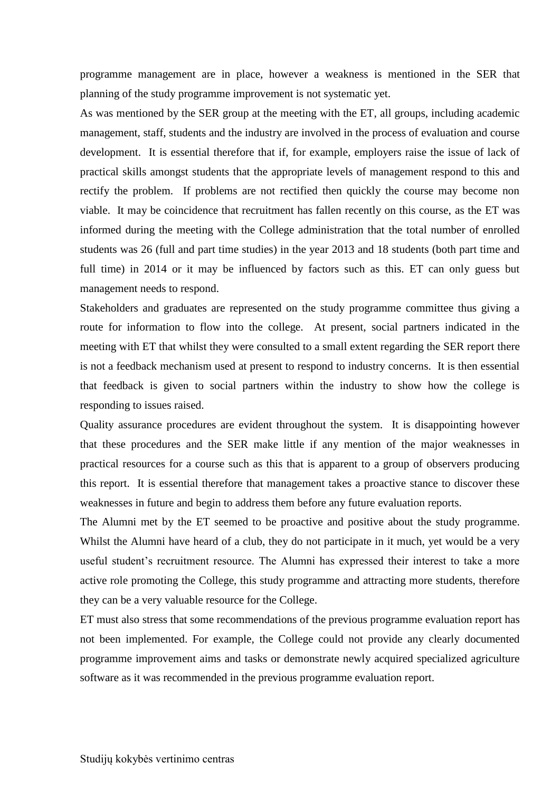programme management are in place, however a weakness is mentioned in the SER that planning of the study programme improvement is not systematic yet.

As was mentioned by the SER group at the meeting with the ET, all groups, including academic management, staff, students and the industry are involved in the process of evaluation and course development. It is essential therefore that if, for example, employers raise the issue of lack of practical skills amongst students that the appropriate levels of management respond to this and rectify the problem. If problems are not rectified then quickly the course may become non viable. It may be coincidence that recruitment has fallen recently on this course, as the ET was informed during the meeting with the College administration that the total number of enrolled students was 26 (full and part time studies) in the year 2013 and 18 students (both part time and full time) in 2014 or it may be influenced by factors such as this. ET can only guess but management needs to respond.

Stakeholders and graduates are represented on the study programme committee thus giving a route for information to flow into the college. At present, social partners indicated in the meeting with ET that whilst they were consulted to a small extent regarding the SER report there is not a feedback mechanism used at present to respond to industry concerns. It is then essential that feedback is given to social partners within the industry to show how the college is responding to issues raised.

Quality assurance procedures are evident throughout the system. It is disappointing however that these procedures and the SER make little if any mention of the major weaknesses in practical resources for a course such as this that is apparent to a group of observers producing this report. It is essential therefore that management takes a proactive stance to discover these weaknesses in future and begin to address them before any future evaluation reports.

The Alumni met by the ET seemed to be proactive and positive about the study programme. Whilst the Alumni have heard of a club, they do not participate in it much, yet would be a very useful student's recruitment resource. The Alumni has expressed their interest to take a more active role promoting the College, this study programme and attracting more students, therefore they can be a very valuable resource for the College.

ET must also stress that some recommendations of the previous programme evaluation report has not been implemented. For example, the College could not provide any clearly documented programme improvement aims and tasks or demonstrate newly acquired specialized agriculture software as it was recommended in the previous programme evaluation report.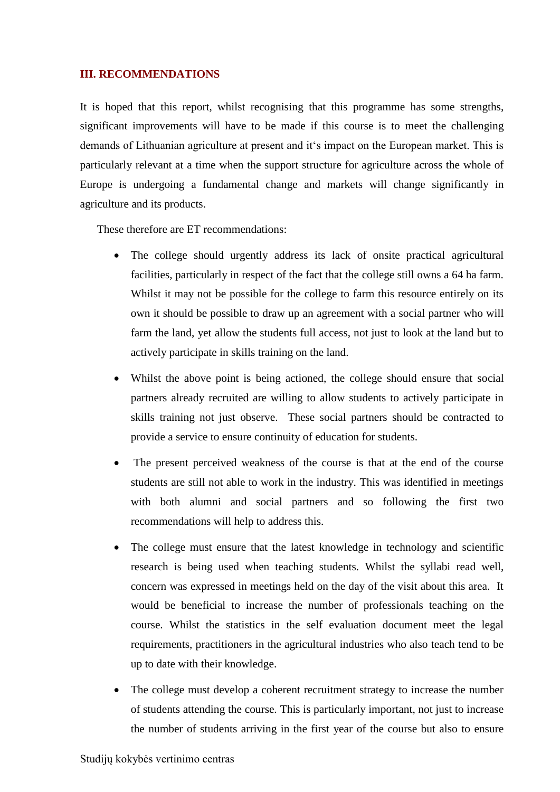#### <span id="page-13-0"></span>**III. RECOMMENDATIONS**

It is hoped that this report, whilst recognising that this programme has some strengths, significant improvements will have to be made if this course is to meet the challenging demands of Lithuanian agriculture at present and it's impact on the European market. This is particularly relevant at a time when the support structure for agriculture across the whole of Europe is undergoing a fundamental change and markets will change significantly in agriculture and its products.

These therefore are ET recommendations:

- The college should urgently address its lack of onsite practical agricultural facilities, particularly in respect of the fact that the college still owns a 64 ha farm. Whilst it may not be possible for the college to farm this resource entirely on its own it should be possible to draw up an agreement with a social partner who will farm the land, yet allow the students full access, not just to look at the land but to actively participate in skills training on the land.
- Whilst the above point is being actioned, the college should ensure that social partners already recruited are willing to allow students to actively participate in skills training not just observe. These social partners should be contracted to provide a service to ensure continuity of education for students.
- The present perceived weakness of the course is that at the end of the course students are still not able to work in the industry. This was identified in meetings with both alumni and social partners and so following the first two recommendations will help to address this.
- The college must ensure that the latest knowledge in technology and scientific research is being used when teaching students. Whilst the syllabi read well, concern was expressed in meetings held on the day of the visit about this area. It would be beneficial to increase the number of professionals teaching on the course. Whilst the statistics in the self evaluation document meet the legal requirements, practitioners in the agricultural industries who also teach tend to be up to date with their knowledge.
- The college must develop a coherent recruitment strategy to increase the number of students attending the course. This is particularly important, not just to increase the number of students arriving in the first year of the course but also to ensure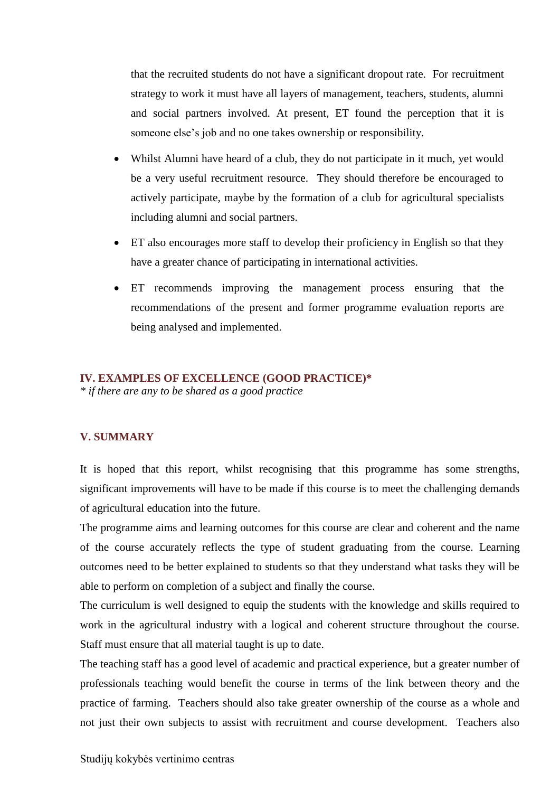that the recruited students do not have a significant dropout rate. For recruitment strategy to work it must have all layers of management, teachers, students, alumni and social partners involved. At present, ET found the perception that it is someone else's job and no one takes ownership or responsibility.

- Whilst Alumni have heard of a club, they do not participate in it much, yet would be a very useful recruitment resource. They should therefore be encouraged to actively participate, maybe by the formation of a club for agricultural specialists including alumni and social partners.
- ET also encourages more staff to develop their proficiency in English so that they have a greater chance of participating in international activities.
- ET recommends improving the management process ensuring that the recommendations of the present and former programme evaluation reports are being analysed and implemented.

#### <span id="page-14-0"></span>**IV. EXAMPLES OF EXCELLENCE (GOOD PRACTICE)\***

*\* if there are any to be shared as a good practice* 

### <span id="page-14-1"></span>**V. SUMMARY**

It is hoped that this report, whilst recognising that this programme has some strengths, significant improvements will have to be made if this course is to meet the challenging demands of agricultural education into the future.

The programme aims and learning outcomes for this course are clear and coherent and the name of the course accurately reflects the type of student graduating from the course. Learning outcomes need to be better explained to students so that they understand what tasks they will be able to perform on completion of a subject and finally the course.

The curriculum is well designed to equip the students with the knowledge and skills required to work in the agricultural industry with a logical and coherent structure throughout the course. Staff must ensure that all material taught is up to date.

The teaching staff has a good level of academic and practical experience, but a greater number of professionals teaching would benefit the course in terms of the link between theory and the practice of farming. Teachers should also take greater ownership of the course as a whole and not just their own subjects to assist with recruitment and course development. Teachers also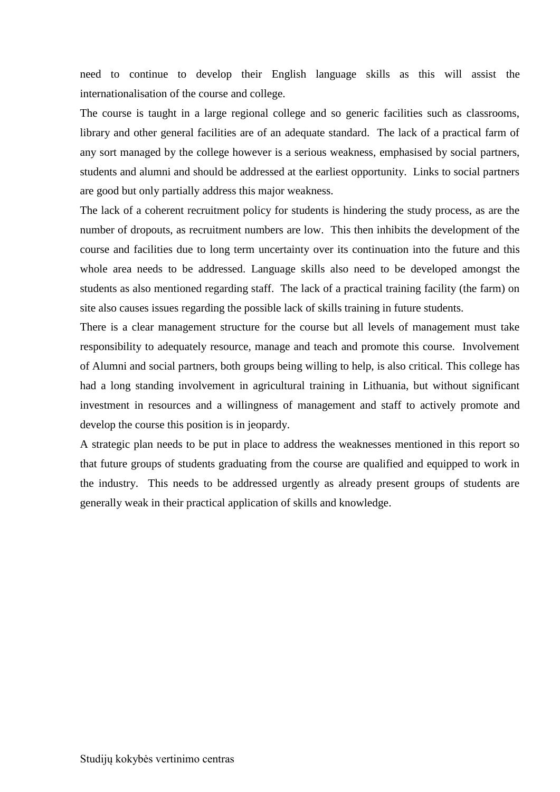need to continue to develop their English language skills as this will assist the internationalisation of the course and college.

The course is taught in a large regional college and so generic facilities such as classrooms, library and other general facilities are of an adequate standard. The lack of a practical farm of any sort managed by the college however is a serious weakness, emphasised by social partners, students and alumni and should be addressed at the earliest opportunity. Links to social partners are good but only partially address this major weakness.

The lack of a coherent recruitment policy for students is hindering the study process, as are the number of dropouts, as recruitment numbers are low. This then inhibits the development of the course and facilities due to long term uncertainty over its continuation into the future and this whole area needs to be addressed. Language skills also need to be developed amongst the students as also mentioned regarding staff. The lack of a practical training facility (the farm) on site also causes issues regarding the possible lack of skills training in future students.

There is a clear management structure for the course but all levels of management must take responsibility to adequately resource, manage and teach and promote this course. Involvement of Alumni and social partners, both groups being willing to help, is also critical. This college has had a long standing involvement in agricultural training in Lithuania, but without significant investment in resources and a willingness of management and staff to actively promote and develop the course this position is in jeopardy.

A strategic plan needs to be put in place to address the weaknesses mentioned in this report so that future groups of students graduating from the course are qualified and equipped to work in the industry. This needs to be addressed urgently as already present groups of students are generally weak in their practical application of skills and knowledge.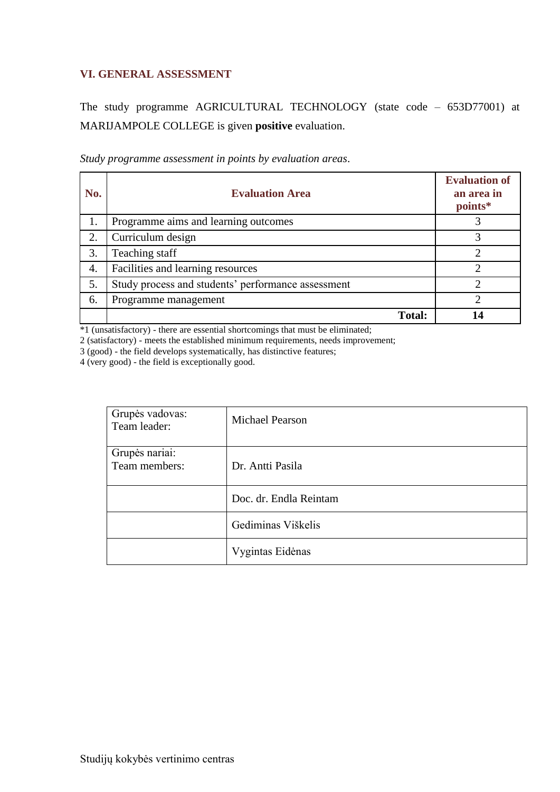## <span id="page-16-0"></span>**VI. GENERAL ASSESSMENT**

The study programme AGRICULTURAL TECHNOLOGY (state code – 653D77001) at MARIJAMPOLE COLLEGE is given **positive** evaluation.

| Study programme assessment in points by evaluation areas. |  |
|-----------------------------------------------------------|--|
|-----------------------------------------------------------|--|

| No. | <b>Evaluation Area</b>                             | <b>Evaluation of</b><br>an area in<br>points* |
|-----|----------------------------------------------------|-----------------------------------------------|
| 1.  | Programme aims and learning outcomes               |                                               |
| 2.  | Curriculum design                                  |                                               |
| 3.  | Teaching staff                                     |                                               |
| 4.  | Facilities and learning resources                  | ∍                                             |
| 5.  | Study process and students' performance assessment |                                               |
| 6.  | Programme management                               |                                               |
|     | <b>Total:</b>                                      |                                               |

\*1 (unsatisfactory) - there are essential shortcomings that must be eliminated;

2 (satisfactory) - meets the established minimum requirements, needs improvement;

3 (good) - the field develops systematically, has distinctive features;

4 (very good) - the field is exceptionally good.

| Grupės vadovas:<br>Team leader: | <b>Michael Pearson</b> |
|---------------------------------|------------------------|
| Grupės nariai:<br>Team members: | Dr. Antti Pasila       |
|                                 | Doc. dr. Endla Reintam |
|                                 | Gediminas Viškelis     |
|                                 | Vygintas Eidėnas       |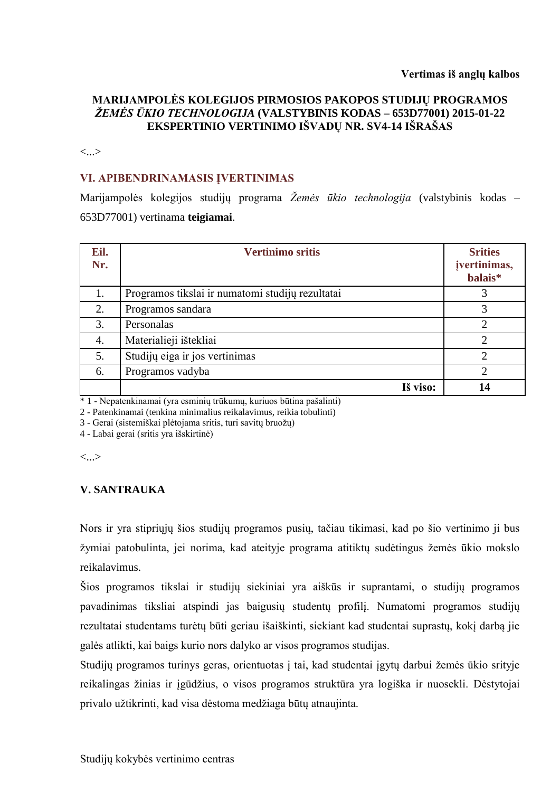## **MARIJAMPOLĖS KOLEGIJOS PIRMOSIOS PAKOPOS STUDIJŲ PROGRAMOS**  *ŽEMĖS ŪKIO TECHNOLOGIJA* **(VALSTYBINIS KODAS – 653D77001) 2015-01-22 EKSPERTINIO VERTINIMO IŠVADŲ NR. SV4-14 IŠRAŠAS**

<...>

## **VI. APIBENDRINAMASIS ĮVERTINIMAS**

Marijampolės kolegijos studijų programa *Žemės ūkio technologija* (valstybinis kodas – 653D77001) vertinama **teigiamai**.

| Eil.<br>Nr. | <b>Vertinimo sritis</b>                          | <b>Srities</b><br>jvertinimas,<br>balais* |
|-------------|--------------------------------------------------|-------------------------------------------|
| 1.          | Programos tikslai ir numatomi studijų rezultatai | 3                                         |
| 2.          | Programos sandara                                | 3                                         |
| 3.          | Personalas                                       | $\mathcal{D}_{\mathcal{A}}$               |
| 4.          | Materialieji ištekliai                           | $\overline{2}$                            |
| 5.          | Studijų eiga ir jos vertinimas                   | 2                                         |
| 6.          | Programos vadyba                                 | $\overline{2}$                            |
|             | Iš viso:                                         | 14                                        |

\* 1 - Nepatenkinamai (yra esminių trūkumų, kuriuos būtina pašalinti)

2 - Patenkinamai (tenkina minimalius reikalavimus, reikia tobulinti)

3 - Gerai (sistemiškai plėtojama sritis, turi savitų bruožų)

4 - Labai gerai (sritis yra išskirtinė)

<...>

## **V. SANTRAUKA**

Nors ir yra stipriųjų šios studijų programos pusių, tačiau tikimasi, kad po šio vertinimo ji bus žymiai patobulinta, jei norima, kad ateityje programa atitiktų sudėtingus žemės ūkio mokslo reikalavimus.

Šios programos tikslai ir studijų siekiniai yra aiškūs ir suprantami, o studijų programos pavadinimas tiksliai atspindi jas baigusių studentų profilį. Numatomi programos studijų rezultatai studentams turėtų būti geriau išaiškinti, siekiant kad studentai suprastų, kokį darbą jie galės atlikti, kai baigs kurio nors dalyko ar visos programos studijas.

Studijų programos turinys geras, orientuotas į tai, kad studentai įgytų darbui žemės ūkio srityje reikalingas žinias ir įgūdžius, o visos programos struktūra yra logiška ir nuosekli. Dėstytojai privalo užtikrinti, kad visa dėstoma medžiaga būtų atnaujinta.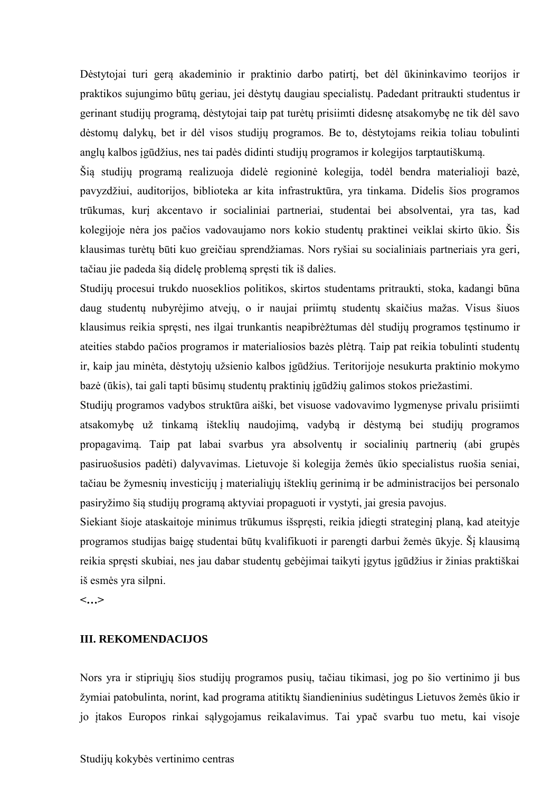Dėstytojai turi gerą akademinio ir praktinio darbo patirtį, bet dėl ūkininkavimo teorijos ir praktikos sujungimo būtų geriau, jei dėstytų daugiau specialistų. Padedant pritraukti studentus ir gerinant studijų programą, dėstytojai taip pat turėtų prisiimti didesnę atsakomybę ne tik dėl savo dėstomų dalykų, bet ir dėl visos studijų programos. Be to, dėstytojams reikia toliau tobulinti anglų kalbos įgūdžius, nes tai padės didinti studijų programos ir kolegijos tarptautiškumą.

Šią studijų programą realizuoja didelė regioninė kolegija, todėl bendra materialioji bazė, pavyzdžiui, auditorijos, biblioteka ar kita infrastruktūra, yra tinkama. Didelis šios programos trūkumas, kurį akcentavo ir socialiniai partneriai, studentai bei absolventai, yra tas, kad kolegijoje nėra jos pačios vadovaujamo nors kokio studentų praktinei veiklai skirto ūkio. Šis klausimas turėtų būti kuo greičiau sprendžiamas. Nors ryšiai su socialiniais partneriais yra geri, tačiau jie padeda šią didelę problemą spręsti tik iš dalies.

Studijų procesui trukdo nuoseklios politikos, skirtos studentams pritraukti, stoka, kadangi būna daug studentų nubyrėjimo atvejų, o ir naujai priimtų studentų skaičius mažas. Visus šiuos klausimus reikia spręsti, nes ilgai trunkantis neapibrėžtumas dėl studijų programos tęstinumo ir ateities stabdo pačios programos ir materialiosios bazės plėtrą. Taip pat reikia tobulinti studentų ir, kaip jau minėta, dėstytojų užsienio kalbos įgūdžius. Teritorijoje nesukurta praktinio mokymo bazė (ūkis), tai gali tapti būsimų studentų praktinių įgūdžių galimos stokos priežastimi.

Studijų programos vadybos struktūra aiški, bet visuose vadovavimo lygmenyse privalu prisiimti atsakomybę už tinkamą išteklių naudojimą, vadybą ir dėstymą bei studijų programos propagavimą. Taip pat labai svarbus yra absolventų ir socialinių partnerių (abi grupės pasiruošusios padėti) dalyvavimas. Lietuvoje ši kolegija žemės ūkio specialistus ruošia seniai, tačiau be žymesnių investicijų į materialiųjų išteklių gerinimą ir be administracijos bei personalo pasiryžimo šią studijų programą aktyviai propaguoti ir vystyti, jai gresia pavojus.

Siekiant šioje ataskaitoje minimus trūkumus išspręsti, reikia įdiegti strateginį planą, kad ateityje programos studijas baigę studentai būtų kvalifikuoti ir parengti darbui žemės ūkyje. Šį klausimą reikia spręsti skubiai, nes jau dabar studentų gebėjimai taikyti įgytus įgūdžius ir žinias praktiškai iš esmės yra silpni.

**<…>**

#### **III. REKOMENDACIJOS**

Nors yra ir stipriųjų šios studijų programos pusių, tačiau tikimasi, jog po šio vertinimo ji bus žymiai patobulinta, norint, kad programa atitiktų šiandieninius sudėtingus Lietuvos žemės ūkio ir jo įtakos Europos rinkai sąlygojamus reikalavimus. Tai ypač svarbu tuo metu, kai visoje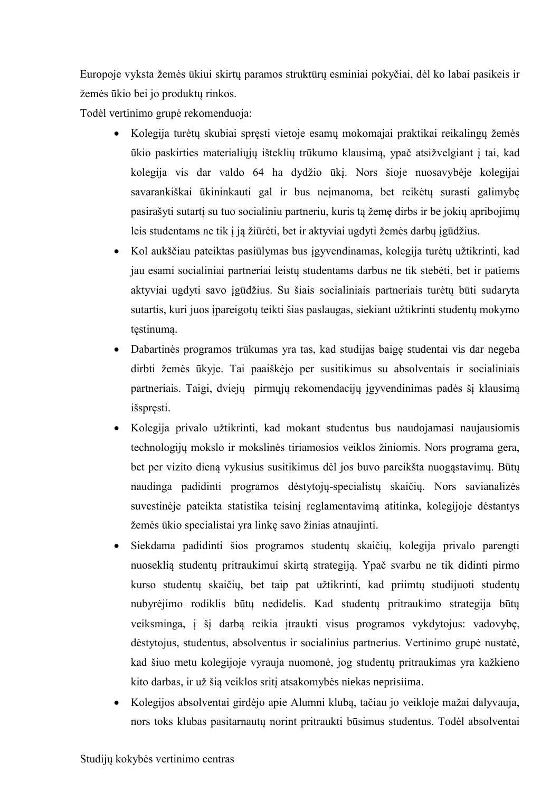Europoje vyksta žemės ūkiui skirtų paramos struktūrų esminiai pokyčiai, dėl ko labai pasikeis ir žemės ūkio bei jo produktų rinkos.

Todėl vertinimo grupė rekomenduoja:

- Kolegija turėtų skubiai spręsti vietoje esamų mokomajai praktikai reikalingų žemės ūkio paskirties materialiųjų išteklių trūkumo klausimą, ypač atsižvelgiant į tai, kad kolegija vis dar valdo 64 ha dydžio ūkį. Nors šioje nuosavybėje kolegijai savarankiškai ūkininkauti gal ir bus neįmanoma, bet reikėtų surasti galimybę pasirašyti sutartį su tuo socialiniu partneriu, kuris tą žemę dirbs ir be jokių apribojimų leis studentams ne tik į ją žiūrėti, bet ir aktyviai ugdyti žemės darbų įgūdžius.
- Kol aukščiau pateiktas pasiūlymas bus įgyvendinamas, kolegija turėtų užtikrinti, kad jau esami socialiniai partneriai leistų studentams darbus ne tik stebėti, bet ir patiems aktyviai ugdyti savo įgūdžius. Su šiais socialiniais partneriais turėtų būti sudaryta sutartis, kuri juos įpareigotų teikti šias paslaugas, siekiant užtikrinti studentų mokymo tęstinumą.
- Dabartinės programos trūkumas yra tas, kad studijas baigę studentai vis dar negeba dirbti žemės ūkyje. Tai paaiškėjo per susitikimus su absolventais ir socialiniais partneriais. Taigi, dviejų pirmųjų rekomendacijų įgyvendinimas padės šį klausimą išspręsti.
- Kolegija privalo užtikrinti, kad mokant studentus bus naudojamasi naujausiomis technologijų mokslo ir mokslinės tiriamosios veiklos žiniomis. Nors programa gera, bet per vizito dieną vykusius susitikimus dėl jos buvo pareikšta nuogąstavimų. Būtų naudinga padidinti programos dėstytojų-specialistų skaičių. Nors savianalizės suvestinėje pateikta statistika teisinį reglamentavimą atitinka, kolegijoje dėstantys žemės ūkio specialistai yra linkę savo žinias atnaujinti.
- Siekdama padidinti šios programos studentų skaičių, kolegija privalo parengti nuoseklią studentų pritraukimui skirtą strategiją. Ypač svarbu ne tik didinti pirmo kurso studentų skaičių, bet taip pat užtikrinti, kad priimtų studijuoti studentų nubyrėjimo rodiklis būtų nedidelis. Kad studentų pritraukimo strategija būtų veiksminga, į šį darbą reikia įtraukti visus programos vykdytojus: vadovybę, dėstytojus, studentus, absolventus ir socialinius partnerius. Vertinimo grupė nustatė, kad šiuo metu kolegijoje vyrauja nuomonė, jog studentų pritraukimas yra kažkieno kito darbas, ir už šią veiklos sritį atsakomybės niekas neprisiima.
- Kolegijos absolventai girdėjo apie Alumni klubą, tačiau jo veikloje mažai dalyvauja, nors toks klubas pasitarnautų norint pritraukti būsimus studentus. Todėl absolventai